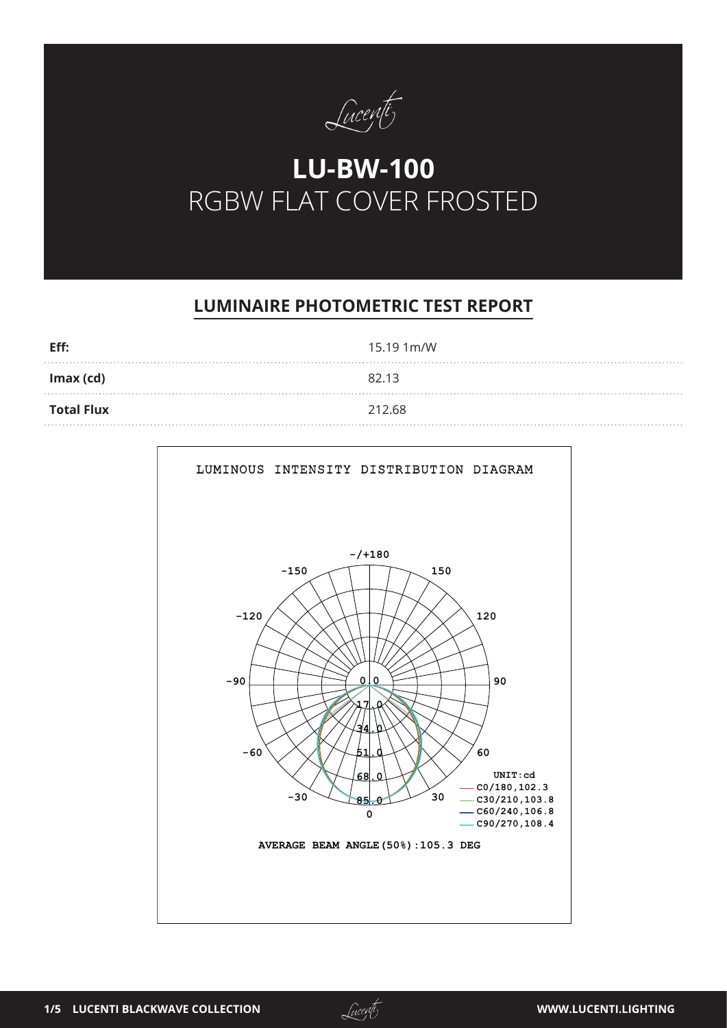

# **LU-BW-100** RGBW FLAT COVER FROSTED

## **LUMINAIRE PHOTOMETRIC TEST REPORT**

| Eff:              | 15.19 1m/W |
|-------------------|------------|
| Imax (cd)         | 82.13      |
| <b>Total Flux</b> | 212.68     |



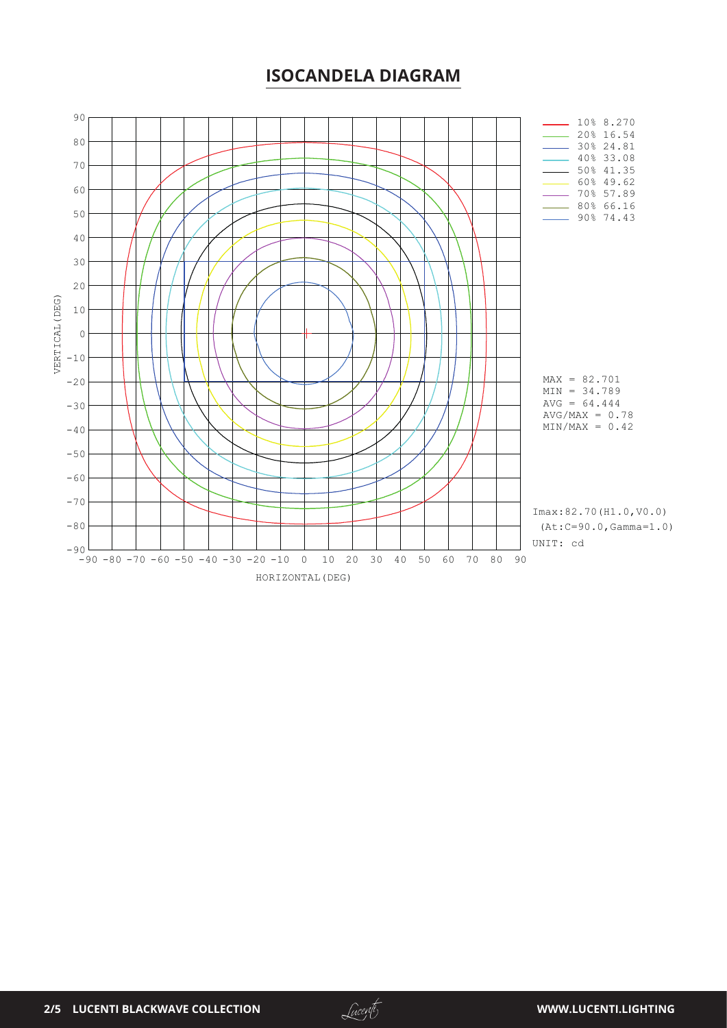#### **ISOCANDELA DIAGRAM**



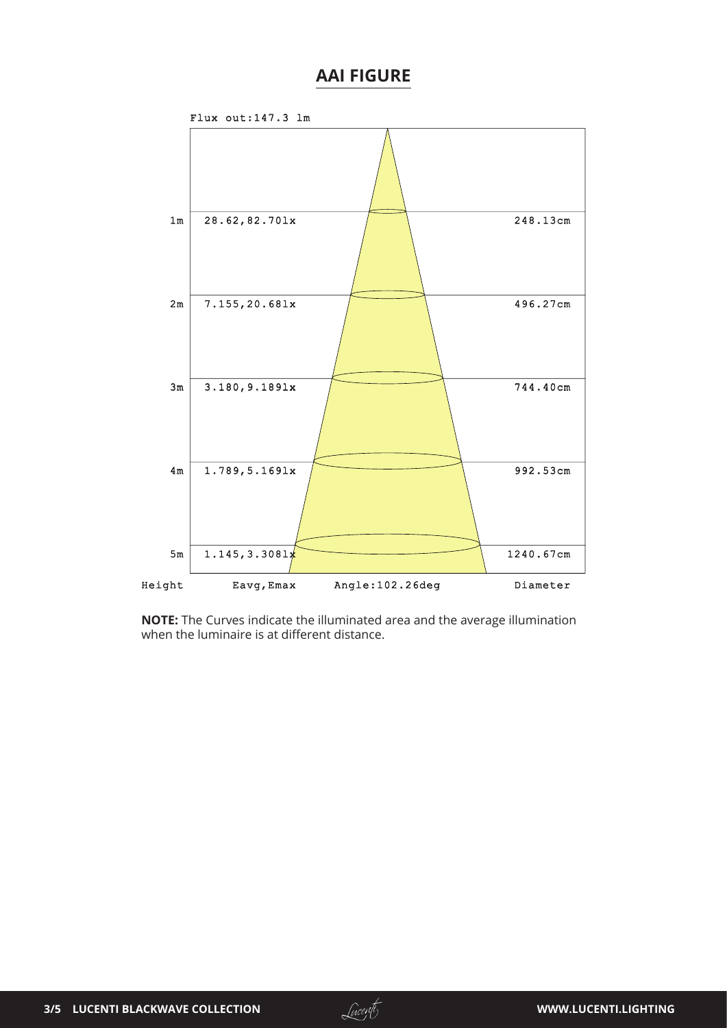### **AAI FIGURE**



**NOTE:** The Curves indicate the illuminated area and the average illumination when the luminaire is at different distance.

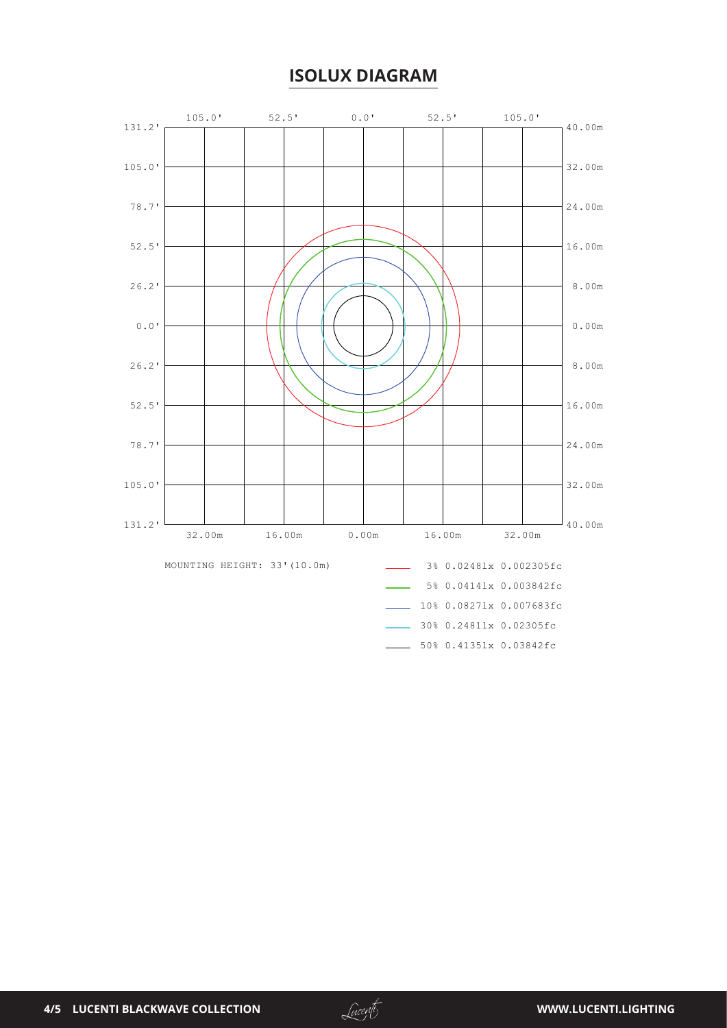### **ISOLUX DIAGRAM**